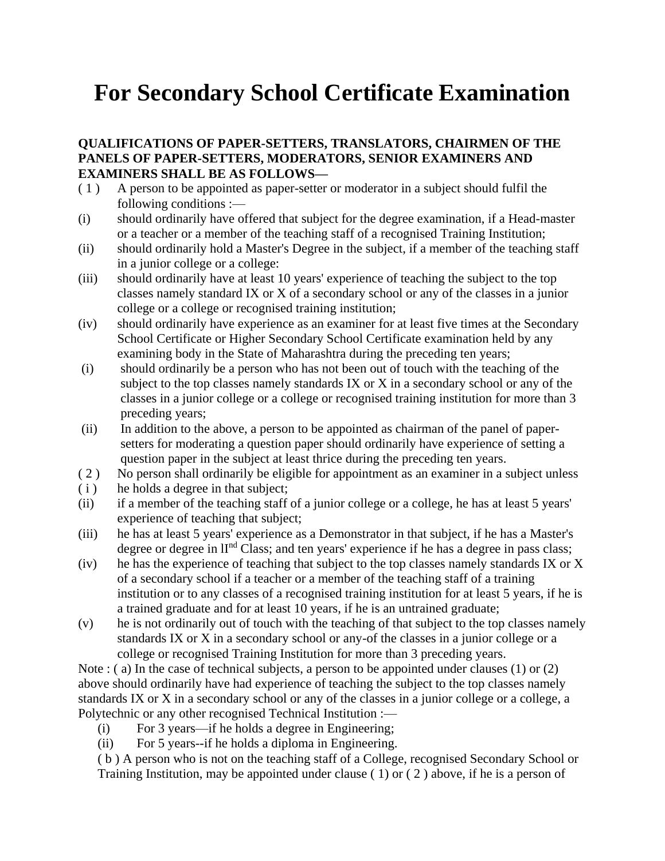# **For Secondary School Certificate Examination**

#### **QUALIFICATIONS OF PAPER-SETTERS, TRANSLATORS, CHAIRMEN OF THE PANELS OF PAPER-SETTERS, MODERATORS, SENIOR EXAMINERS AND EXAMINERS SHALL BE AS FOLLOWS—**

- ( 1 ) A person to be appointed as paper-setter or moderator in a subject should fulfil the following conditions :—
- (i) should ordinarily have offered that subject for the degree examination, if a Head-master or a teacher or a member of the teaching staff of a recognised Training Institution;
- (ii) should ordinarily hold a Master's Degree in the subject, if a member of the teaching staff in a junior college or a college:
- (iii) should ordinarily have at least 10 years' experience of teaching the subject to the top classes namely standard IX or X of a secondary school or any of the classes in a junior college or a college or recognised training institution;
- (iv) should ordinarily have experience as an examiner for at least five times at the Secondary School Certificate or Higher Secondary School Certificate examination held by any examining body in the State of Maharashtra during the preceding ten years;
- (i) should ordinarily be a person who has not been out of touch with the teaching of the subject to the top classes namely standards IX or X in a secondary school or any of the classes in a junior college or a college or recognised training institution for more than 3 preceding years;
- (ii) In addition to the above, a person to be appointed as chairman of the panel of papersetters for moderating a question paper should ordinarily have experience of setting a question paper in the subject at least thrice during the preceding ten years.
- ( 2 ) No person shall ordinarily be eligible for appointment as an examiner in a subject unless
- (i) he holds a degree in that subject;
- (ii) if a member of the teaching staff of a junior college or a college, he has at least 5 years' experience of teaching that subject;
- (iii) he has at least 5 years' experience as a Demonstrator in that subject, if he has a Master's degree or degree in  $II<sup>nd</sup> Class$ ; and ten years' experience if he has a degree in pass class;
- (iv) he has the experience of teaching that subject to the top classes namely standards IX or X of a secondary school if a teacher or a member of the teaching staff of a training institution or to any classes of a recognised training institution for at least 5 years, if he is a trained graduate and for at least 10 years, if he is an untrained graduate;
- (v) he is not ordinarily out of touch with the teaching of that subject to the top classes namely standards IX or X in a secondary school or any-of the classes in a junior college or a college or recognised Training Institution for more than 3 preceding years.

Note : (a) In the case of technical subjects, a person to be appointed under clauses (1) or (2) above should ordinarily have had experience of teaching the subject to the top classes namely standards IX or X in a secondary school or any of the classes in a junior college or a college, a Polytechnic or any other recognised Technical Institution :—

- (i) For 3 years—if he holds a degree in Engineering;
- (ii) For 5 years--if he holds a diploma in Engineering.

( b ) A person who is not on the teaching staff of a College, recognised Secondary School or Training Institution, may be appointed under clause ( 1) or ( 2 ) above, if he is a person of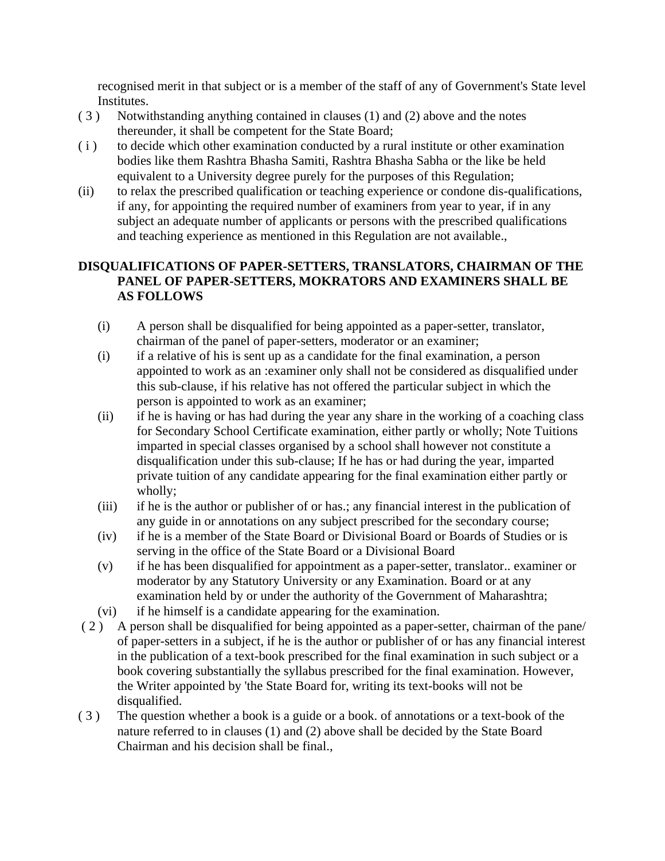recognised merit in that subject or is a member of the staff of any of Government's State level Institutes.

- ( 3 ) Notwithstanding anything contained in clauses (1) and (2) above and the notes thereunder, it shall be competent for the State Board;
- ( i ) to decide which other examination conducted by a rural institute or other examination bodies like them Rashtra Bhasha Samiti, Rashtra Bhasha Sabha or the like be held equivalent to a University degree purely for the purposes of this Regulation;
- (ii) to relax the prescribed qualification or teaching experience or condone dis-qualifications, if any, for appointing the required number of examiners from year to year, if in any subject an adequate number of applicants or persons with the prescribed qualifications and teaching experience as mentioned in this Regulation are not available.,

### **DISQUALIFICATIONS OF PAPER-SETTERS, TRANSLATORS, CHAIRMAN OF THE PANEL OF PAPER-SETTERS, MOKRATORS AND EXAMINERS SHALL BE AS FOLLOWS**

- (i) A person shall be disqualified for being appointed as a paper-setter, translator, chairman of the panel of paper-setters, moderator or an examiner;
- (i) if a relative of his is sent up as a candidate for the final examination, a person appointed to work as an :examiner only shall not be considered as disqualified under this sub-clause, if his relative has not offered the particular subject in which the person is appointed to work as an examiner;
- (ii) if he is having or has had during the year any share in the working of a coaching class for Secondary School Certificate examination, either partly or wholly; Note Tuitions imparted in special classes organised by a school shall however not constitute a disqualification under this sub-clause; If he has or had during the year, imparted private tuition of any candidate appearing for the final examination either partly or wholly;
- (iii) if he is the author or publisher of or has.; any financial interest in the publication of any guide in or annotations on any subject prescribed for the secondary course;
- (iv) if he is a member of the State Board or Divisional Board or Boards of Studies or is serving in the office of the State Board or a Divisional Board
- (v) if he has been disqualified for appointment as a paper-setter, translator.. examiner or moderator by any Statutory University or any Examination. Board or at any examination held by or under the authority of the Government of Maharashtra;
- (vi) if he himself is a candidate appearing for the examination.
- ( 2 ) A person shall be disqualified for being appointed as a paper-setter, chairman of the pane/ of paper-setters in a subject, if he is the author or publisher of or has any financial interest in the publication of a text-book prescribed for the final examination in such subject or a book covering substantially the syllabus prescribed for the final examination. However, the Writer appointed by 'the State Board for, writing its text-books will not be disqualified.
- ( 3 ) The question whether a book is a guide or a book. of annotations or a text-book of the nature referred to in clauses (1) and (2) above shall be decided by the State Board Chairman and his decision shall be final.,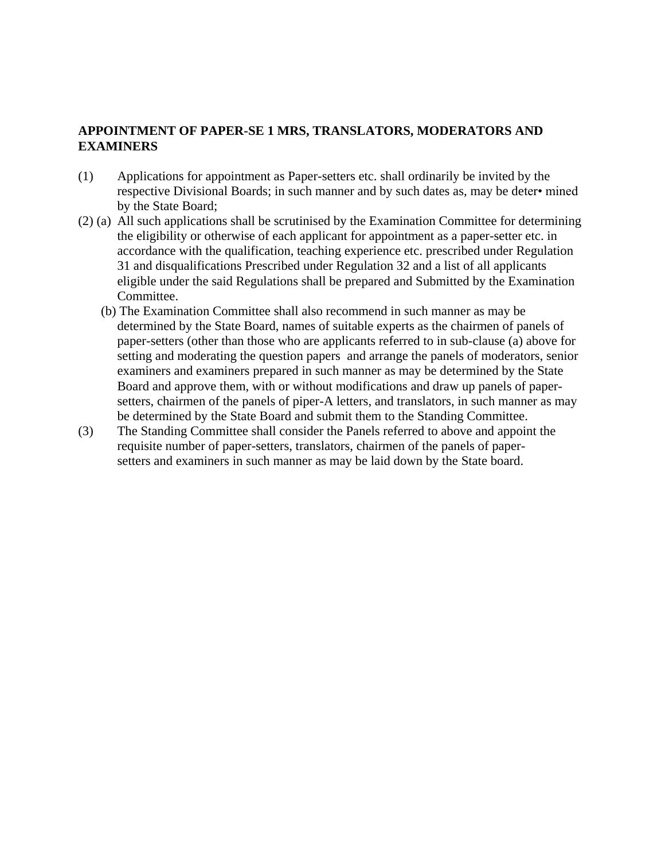### **APPOINTMENT OF PAPER-SE 1 MRS, TRANSLATORS, MODERATORS AND EXAMINERS**

- (1) Applications for appointment as Paper-setters etc. shall ordinarily be invited by the respective Divisional Boards; in such manner and by such dates as, may be deter• mined by the State Board;
- (2) (a) All such applications shall be scrutinised by the Examination Committee for determining the eligibility or otherwise of each applicant for appointment as a paper-setter etc. in accordance with the qualification, teaching experience etc. prescribed under Regulation 31 and disqualifications Prescribed under Regulation 32 and a list of all applicants eligible under the said Regulations shall be prepared and Submitted by the Examination Committee.
	- (b) The Examination Committee shall also recommend in such manner as may be determined by the State Board, names of suitable experts as the chairmen of panels of paper-setters (other than those who are applicants referred to in sub-clause (a) above for setting and moderating the question papers and arrange the panels of moderators, senior examiners and examiners prepared in such manner as may be determined by the State Board and approve them, with or without modifications and draw up panels of papersetters, chairmen of the panels of piper-A letters, and translators, in such manner as may be determined by the State Board and submit them to the Standing Committee.
- (3) The Standing Committee shall consider the Panels referred to above and appoint the requisite number of paper-setters, translators, chairmen of the panels of papersetters and examiners in such manner as may be laid down by the State board.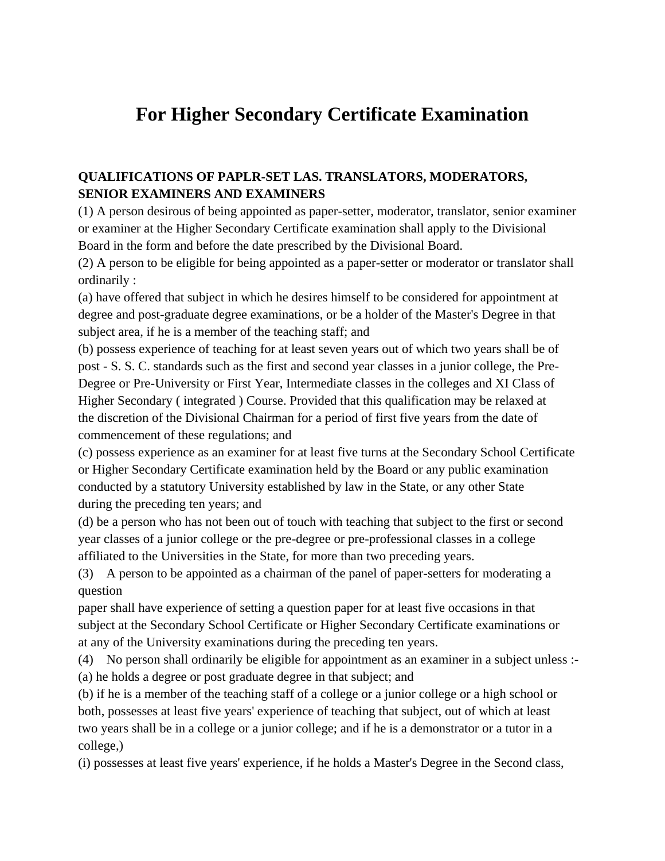# **For Higher Secondary Certificate Examination**

### **QUALIFICATIONS OF PAPLR-SET LAS. TRANSLATORS, MODERATORS, SENIOR EXAMINERS AND EXAMINERS**

(1) A person desirous of being appointed as paper-setter, moderator, translator, senior examiner or examiner at the Higher Secondary Certificate examination shall apply to the Divisional Board in the form and before the date prescribed by the Divisional Board.

(2) A person to be eligible for being appointed as a paper-setter or moderator or translator shall ordinarily :

(a) have offered that subject in which he desires himself to be considered for appointment at degree and post-graduate degree examinations, or be a holder of the Master's Degree in that subject area, if he is a member of the teaching staff; and

(b) possess experience of teaching for at least seven years out of which two years shall be of post - S. S. C. standards such as the first and second year classes in a junior college, the Pre-Degree or Pre-University or First Year, Intermediate classes in the colleges and XI Class of Higher Secondary ( integrated ) Course. Provided that this qualification may be relaxed at the discretion of the Divisional Chairman for a period of first five years from the date of commencement of these regulations; and

(c) possess experience as an examiner for at least five turns at the Secondary School Certificate or Higher Secondary Certificate examination held by the Board or any public examination conducted by a statutory University established by law in the State, or any other State during the preceding ten years; and

(d) be a person who has not been out of touch with teaching that subject to the first or second year classes of a junior college or the pre-degree or pre-professional classes in a college affiliated to the Universities in the State, for more than two preceding years.

(3) A person to be appointed as a chairman of the panel of paper-setters for moderating a question

paper shall have experience of setting a question paper for at least five occasions in that subject at the Secondary School Certificate or Higher Secondary Certificate examinations or at any of the University examinations during the preceding ten years.

(4) No person shall ordinarily be eligible for appointment as an examiner in a subject unless :- (a) he holds a degree or post graduate degree in that subject; and

(b) if he is a member of the teaching staff of a college or a junior college or a high school or both, possesses at least five years' experience of teaching that subject, out of which at least two years shall be in a college or a junior college; and if he is a demonstrator or a tutor in a college,)

(i) possesses at least five years' experience, if he holds a Master's Degree in the Second class,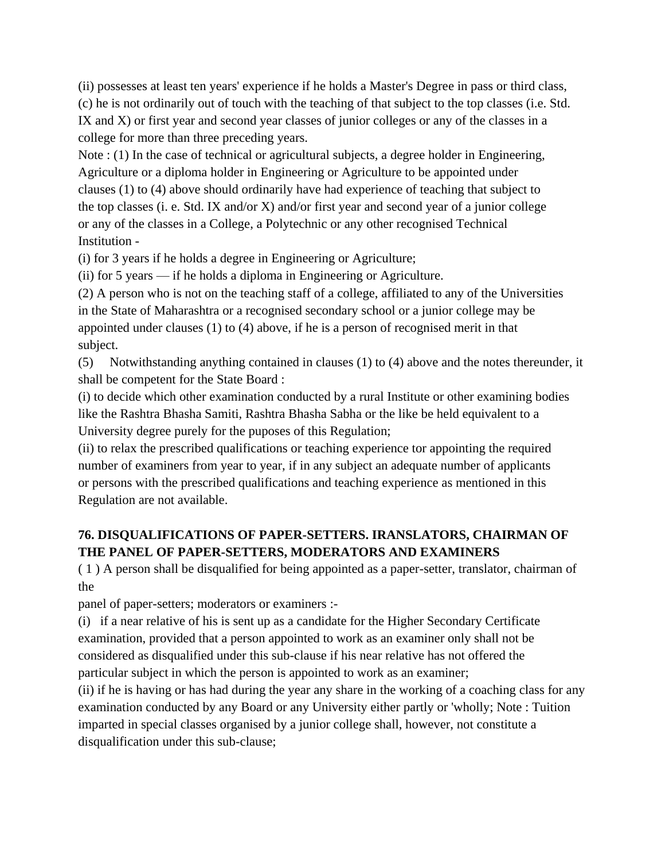(ii) possesses at least ten years' experience if he holds a Master's Degree in pass or third class,

(c) he is not ordinarily out of touch with the teaching of that subject to the top classes (i.e. Std. IX and X) or first year and second year classes of junior colleges or any of the classes in a college for more than three preceding years.

Note : (1) In the case of technical or agricultural subjects, a degree holder in Engineering, Agriculture or a diploma holder in Engineering or Agriculture to be appointed under clauses (1) to (4) above should ordinarily have had experience of teaching that subject to the top classes (i. e. Std. IX and/or X) and/or first year and second year of a junior college or any of the classes in a College, a Polytechnic or any other recognised Technical Institution -

(i) for 3 years if he holds a degree in Engineering or Agriculture;

(ii) for 5 years — if he holds a diploma in Engineering or Agriculture.

(2) A person who is not on the teaching staff of a college, affiliated to any of the Universities in the State of Maharashtra or a recognised secondary school or a junior college may be appointed under clauses (1) to (4) above, if he is a person of recognised merit in that subject.

(5) Notwithstanding anything contained in clauses (1) to (4) above and the notes thereunder, it shall be competent for the State Board :

(i) to decide which other examination conducted by a rural Institute or other examining bodies like the Rashtra Bhasha Samiti, Rashtra Bhasha Sabha or the like be held equivalent to a University degree purely for the puposes of this Regulation;

(ii) to relax the prescribed qualifications or teaching experience tor appointing the required number of examiners from year to year, if in any subject an adequate number of applicants or persons with the prescribed qualifications and teaching experience as mentioned in this Regulation are not available.

## **76. DISQUALIFICATIONS OF PAPER-SETTERS. IRANSLATORS, CHAIRMAN OF THE PANEL OF PAPER-SETTERS, MODERATORS AND EXAMINERS**

( 1 ) A person shall be disqualified for being appointed as a paper-setter, translator, chairman of the

panel of paper-setters; moderators or examiners :-

(i) if a near relative of his is sent up as a candidate for the Higher Secondary Certificate examination, provided that a person appointed to work as an examiner only shall not be considered as disqualified under this sub-clause if his near relative has not offered the particular subject in which the person is appointed to work as an examiner;

(ii) if he is having or has had during the year any share in the working of a coaching class for any examination conducted by any Board or any University either partly or 'wholly; Note : Tuition imparted in special classes organised by a junior college shall, however, not constitute a disqualification under this sub-clause;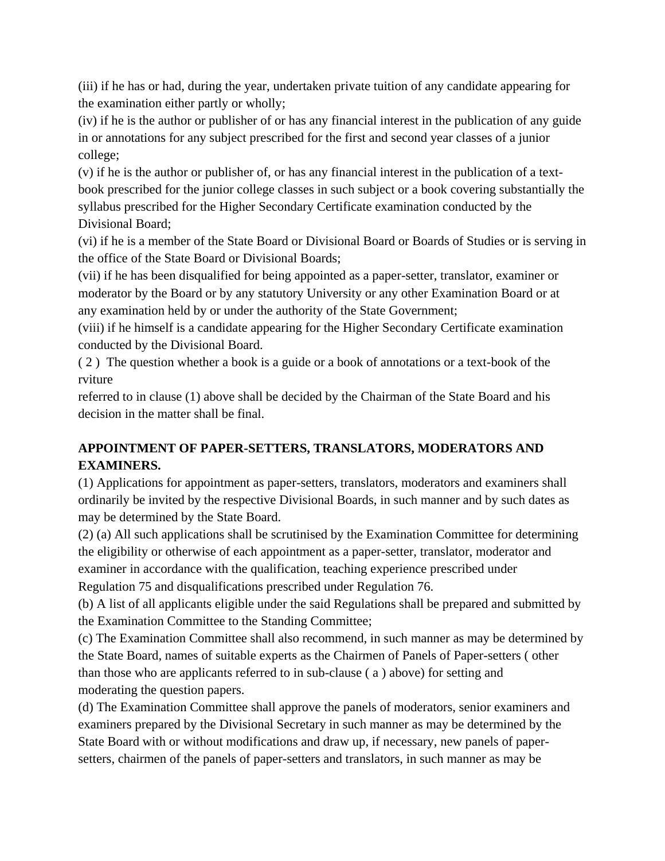(iii) if he has or had, during the year, undertaken private tuition of any candidate appearing for the examination either partly or wholly;

(iv) if he is the author or publisher of or has any financial interest in the publication of any guide in or annotations for any subject prescribed for the first and second year classes of a junior college;

(v) if he is the author or publisher of, or has any financial interest in the publication of a textbook prescribed for the junior college classes in such subject or a book covering substantially the syllabus prescribed for the Higher Secondary Certificate examination conducted by the Divisional Board;

(vi) if he is a member of the State Board or Divisional Board or Boards of Studies or is serving in the office of the State Board or Divisional Boards;

(vii) if he has been disqualified for being appointed as a paper-setter, translator, examiner or moderator by the Board or by any statutory University or any other Examination Board or at any examination held by or under the authority of the State Government;

(viii) if he himself is a candidate appearing for the Higher Secondary Certificate examination conducted by the Divisional Board.

( 2 ) The question whether a book is a guide or a book of annotations or a text-book of the rviture

referred to in clause (1) above shall be decided by the Chairman of the State Board and his decision in the matter shall be final.

# **APPOINTMENT OF PAPER-SETTERS, TRANSLATORS, MODERATORS AND EXAMINERS.**

(1) Applications for appointment as paper-setters, translators, moderators and examiners shall ordinarily be invited by the respective Divisional Boards, in such manner and by such dates as may be determined by the State Board.

(2) (a) All such applications shall be scrutinised by the Examination Committee for determining the eligibility or otherwise of each appointment as a paper-setter, translator, moderator and examiner in accordance with the qualification, teaching experience prescribed under Regulation 75 and disqualifications prescribed under Regulation 76.

(b) A list of all applicants eligible under the said Regulations shall be prepared and submitted by the Examination Committee to the Standing Committee;

(c) The Examination Committee shall also recommend, in such manner as may be determined by the State Board, names of suitable experts as the Chairmen of Panels of Paper-setters ( other than those who are applicants referred to in sub-clause ( a ) above) for setting and moderating the question papers.

(d) The Examination Committee shall approve the panels of moderators, senior examiners and examiners prepared by the Divisional Secretary in such manner as may be determined by the State Board with or without modifications and draw up, if necessary, new panels of papersetters, chairmen of the panels of paper-setters and translators, in such manner as may be